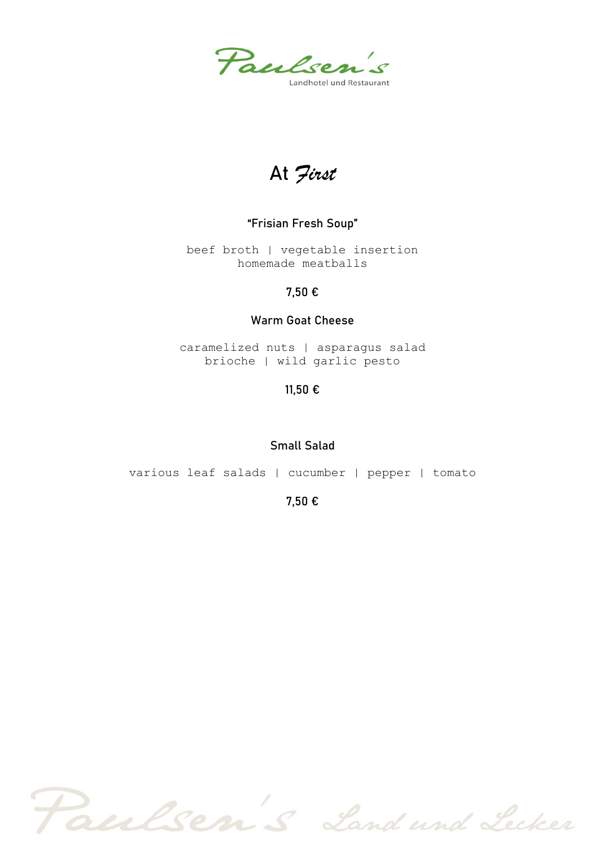Paulsen's andhotel und Restaurant

At *First*

## **"Frisian Fresh Soup"**

beef broth | vegetable insertion homemade meatballs

## **7,50 €**

## **Warm Goat Cheese**

caramelized nuts | asparagus salad brioche | wild garlic pesto

**11,50 €**

### **Small Salad**

various leaf salads | cucumber | pepper | tomato

**7,50 €**

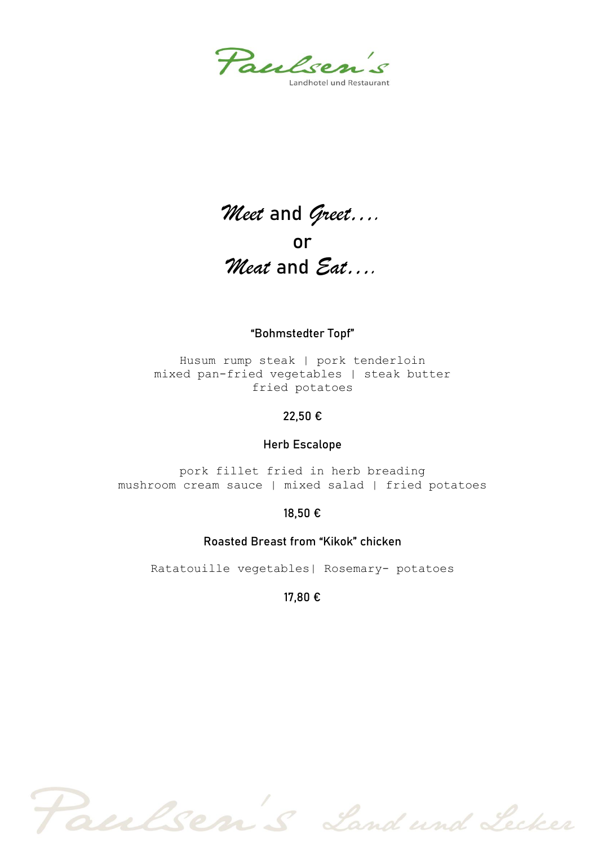

# *Meet* and *Greet….* or *Meat* and *Eat….*

### **"Bohmstedter Topf"**

Husum rump steak | pork tenderloin mixed pan-fried vegetables | steak butter fried potatoes

### **22,50 €**

#### **Herb Escalope**

pork fillet fried in herb breading mushroom cream sauce | mixed salad | fried potatoes

### **18,50 €**

#### **Roasted Breast from "Kikok" chicken**

Ratatouille vegetables| Rosemary- potatoes

#### **17,80 €**

Paulsen's Land und Lecker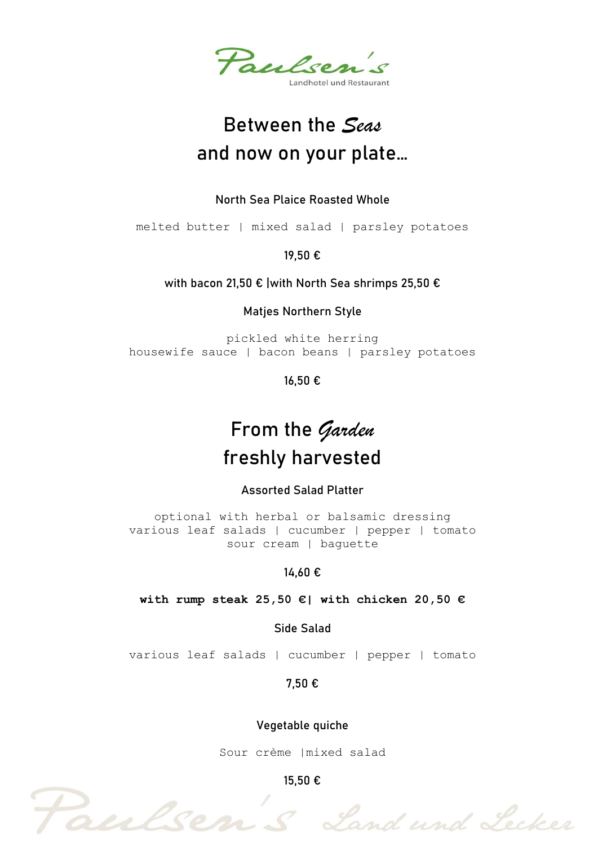

# Between the *Seas* and now on your plate…

## **North Sea Plaice Roasted Whole**

melted butter | mixed salad | parsley potatoes

**19,50 €**

## **with bacon 21,50 € |with North Sea shrimps 25,50 €**

**Matjes Northern Style**

pickled white herring housewife sauce | bacon beans | parsley potatoes

**16,50 €**

# From the *Garden* freshly harvested

**Assorted Salad Platter**

optional with herbal or balsamic dressing various leaf salads | cucumber | pepper | tomato sour cream | baguette

## **14,60 €**

### **with rump steak 25,50 €| with chicken 20,50 €**

**Side Salad**

various leaf salads | cucumber | pepper | tomato

**7,50 €**

### **Vegetable quiche**

Sour crème |mixed salad

**15,50 €**

Paulsen's Land und Lecker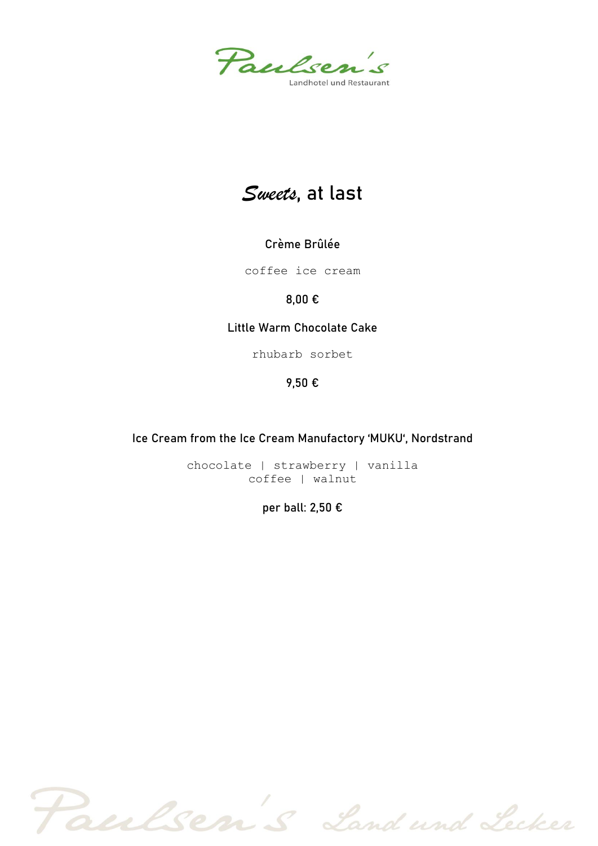

# *Sweets*, at last

## **Crème Brûlée**

coffee ice cream

## **8,00 €**

## **Little Warm Chocolate Cake**

rhubarb sorbet

## **9,50 €**

## **Ice Cream from the Ice Cream Manufactory 'MUKU', Nordstrand**

chocolate | strawberry | vanilla coffee | walnut

## **per ball: 2,50 €**